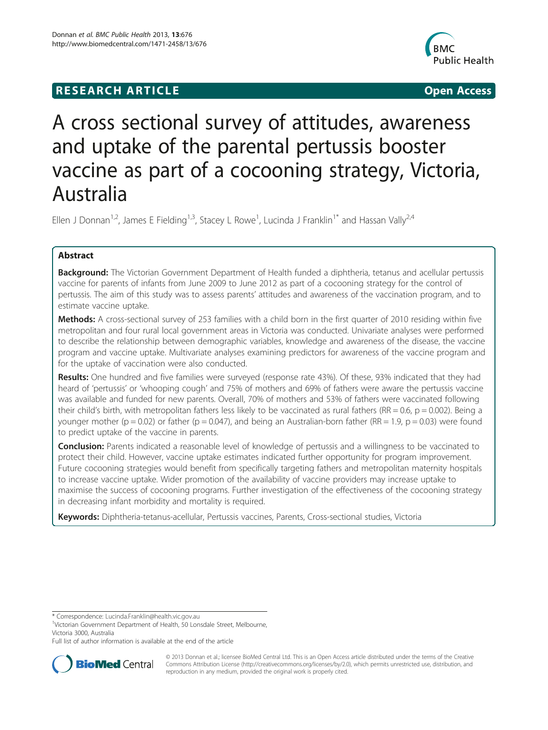## **RESEARCH ARTICLE Example 2014 12:30 The SEAR CHIPS 2014 12:30 The Open Access**



# A cross sectional survey of attitudes, awareness and uptake of the parental pertussis booster vaccine as part of a cocooning strategy, Victoria, Australia

Ellen J Donnan<sup>1,2</sup>, James E Fielding<sup>1,3</sup>, Stacey L Rowe<sup>1</sup>, Lucinda J Franklin<sup>1\*</sup> and Hassan Vally<sup>2,4</sup>

## Abstract

**Background:** The Victorian Government Department of Health funded a diphtheria, tetanus and acellular pertussis vaccine for parents of infants from June 2009 to June 2012 as part of a cocooning strategy for the control of pertussis. The aim of this study was to assess parents' attitudes and awareness of the vaccination program, and to estimate vaccine uptake.

Methods: A cross-sectional survey of 253 families with a child born in the first quarter of 2010 residing within five metropolitan and four rural local government areas in Victoria was conducted. Univariate analyses were performed to describe the relationship between demographic variables, knowledge and awareness of the disease, the vaccine program and vaccine uptake. Multivariate analyses examining predictors for awareness of the vaccine program and for the uptake of vaccination were also conducted.

Results: One hundred and five families were surveyed (response rate 43%). Of these, 93% indicated that they had heard of 'pertussis' or 'whooping cough' and 75% of mothers and 69% of fathers were aware the pertussis vaccine was available and funded for new parents. Overall, 70% of mothers and 53% of fathers were vaccinated following their child's birth, with metropolitan fathers less likely to be vaccinated as rural fathers (RR = 0.6,  $p = 0.002$ ). Being a younger mother ( $p = 0.02$ ) or father ( $p = 0.047$ ), and being an Australian-born father (RR = 1.9,  $p = 0.03$ ) were found to predict uptake of the vaccine in parents.

Conclusion: Parents indicated a reasonable level of knowledge of pertussis and a willingness to be vaccinated to protect their child. However, vaccine uptake estimates indicated further opportunity for program improvement. Future cocooning strategies would benefit from specifically targeting fathers and metropolitan maternity hospitals to increase vaccine uptake. Wider promotion of the availability of vaccine providers may increase uptake to maximise the success of cocooning programs. Further investigation of the effectiveness of the cocooning strategy in decreasing infant morbidity and mortality is required.

Keywords: Diphtheria-tetanus-acellular, Pertussis vaccines, Parents, Cross-sectional studies, Victoria

Full list of author information is available at the end of the article



© 2013 Donnan et al.; licensee BioMed Central Ltd. This is an Open Access article distributed under the terms of the Creative Commons Attribution License [\(http://creativecommons.org/licenses/by/2.0\)](http://creativecommons.org/licenses/by/2.0), which permits unrestricted use, distribution, and reproduction in any medium, provided the original work is properly cited.

<sup>\*</sup> Correspondence: [Lucinda.Franklin@health.vic.gov.au](mailto:Lucinda.Franklin@health.vic.gov.au) <sup>1</sup>

<sup>&</sup>lt;sup>1</sup>Victorian Government Department of Health, 50 Lonsdale Street, Melbourne, Victoria 3000, Australia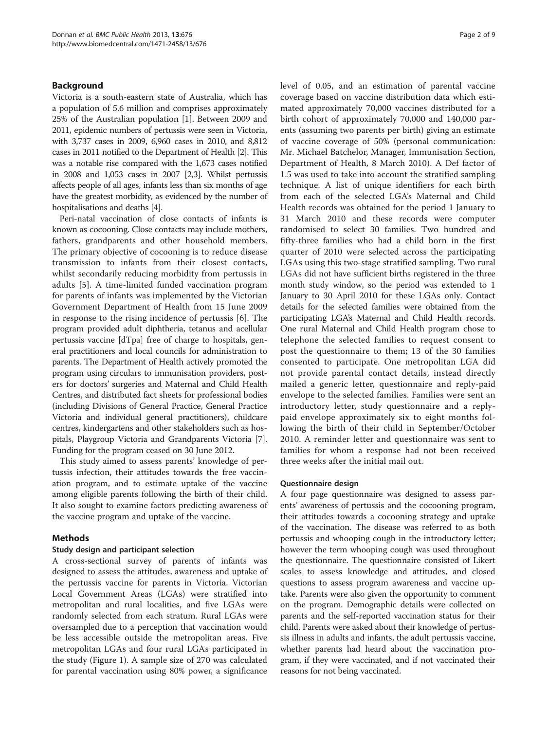## Background

Victoria is a south-eastern state of Australia, which has a population of 5.6 million and comprises approximately 25% of the Australian population [[1\]](#page-8-0). Between 2009 and 2011, epidemic numbers of pertussis were seen in Victoria, with 3,737 cases in 2009, 6,960 cases in 2010, and 8,812 cases in 2011 notified to the Department of Health [[2](#page-8-0)]. This was a notable rise compared with the 1,673 cases notified in 2008 and 1,053 cases in 2007 [[2,3](#page-8-0)]. Whilst pertussis affects people of all ages, infants less than six months of age have the greatest morbidity, as evidenced by the number of hospitalisations and deaths [\[4\]](#page-8-0).

Peri-natal vaccination of close contacts of infants is known as cocooning. Close contacts may include mothers, fathers, grandparents and other household members. The primary objective of cocooning is to reduce disease transmission to infants from their closest contacts, whilst secondarily reducing morbidity from pertussis in adults [\[5](#page-8-0)]. A time-limited funded vaccination program for parents of infants was implemented by the Victorian Government Department of Health from 15 June 2009 in response to the rising incidence of pertussis [\[6](#page-8-0)]. The program provided adult diphtheria, tetanus and acellular pertussis vaccine [dTpa] free of charge to hospitals, general practitioners and local councils for administration to parents. The Department of Health actively promoted the program using circulars to immunisation providers, posters for doctors' surgeries and Maternal and Child Health Centres, and distributed fact sheets for professional bodies (including Divisions of General Practice, General Practice Victoria and individual general practitioners), childcare centres, kindergartens and other stakeholders such as hospitals, Playgroup Victoria and Grandparents Victoria [[7](#page-8-0)]. Funding for the program ceased on 30 June 2012.

This study aimed to assess parents' knowledge of pertussis infection, their attitudes towards the free vaccination program, and to estimate uptake of the vaccine among eligible parents following the birth of their child. It also sought to examine factors predicting awareness of the vaccine program and uptake of the vaccine.

## Methods

## Study design and participant selection

A cross-sectional survey of parents of infants was designed to assess the attitudes, awareness and uptake of the pertussis vaccine for parents in Victoria. Victorian Local Government Areas (LGAs) were stratified into metropolitan and rural localities, and five LGAs were randomly selected from each stratum. Rural LGAs were oversampled due to a perception that vaccination would be less accessible outside the metropolitan areas. Five metropolitan LGAs and four rural LGAs participated in the study (Figure [1\)](#page-2-0). A sample size of 270 was calculated for parental vaccination using 80% power, a significance level of 0.05, and an estimation of parental vaccine coverage based on vaccine distribution data which estimated approximately 70,000 vaccines distributed for a birth cohort of approximately 70,000 and 140,000 parents (assuming two parents per birth) giving an estimate of vaccine coverage of 50% (personal communication: Mr. Michael Batchelor, Manager, Immunisation Section, Department of Health, 8 March 2010). A Def factor of 1.5 was used to take into account the stratified sampling technique. A list of unique identifiers for each birth from each of the selected LGA's Maternal and Child Health records was obtained for the period 1 January to 31 March 2010 and these records were computer randomised to select 30 families. Two hundred and fifty-three families who had a child born in the first quarter of 2010 were selected across the participating LGAs using this two-stage stratified sampling. Two rural LGAs did not have sufficient births registered in the three month study window, so the period was extended to 1 January to 30 April 2010 for these LGAs only. Contact details for the selected families were obtained from the participating LGA's Maternal and Child Health records. One rural Maternal and Child Health program chose to telephone the selected families to request consent to post the questionnaire to them; 13 of the 30 families consented to participate. One metropolitan LGA did not provide parental contact details, instead directly mailed a generic letter, questionnaire and reply-paid envelope to the selected families. Families were sent an introductory letter, study questionnaire and a replypaid envelope approximately six to eight months following the birth of their child in September/October 2010. A reminder letter and questionnaire was sent to families for whom a response had not been received three weeks after the initial mail out.

#### Questionnaire design

A four page questionnaire was designed to assess parents' awareness of pertussis and the cocooning program, their attitudes towards a cocooning strategy and uptake of the vaccination. The disease was referred to as both pertussis and whooping cough in the introductory letter; however the term whooping cough was used throughout the questionnaire. The questionnaire consisted of Likert scales to assess knowledge and attitudes, and closed questions to assess program awareness and vaccine uptake. Parents were also given the opportunity to comment on the program. Demographic details were collected on parents and the self-reported vaccination status for their child. Parents were asked about their knowledge of pertussis illness in adults and infants, the adult pertussis vaccine, whether parents had heard about the vaccination program, if they were vaccinated, and if not vaccinated their reasons for not being vaccinated.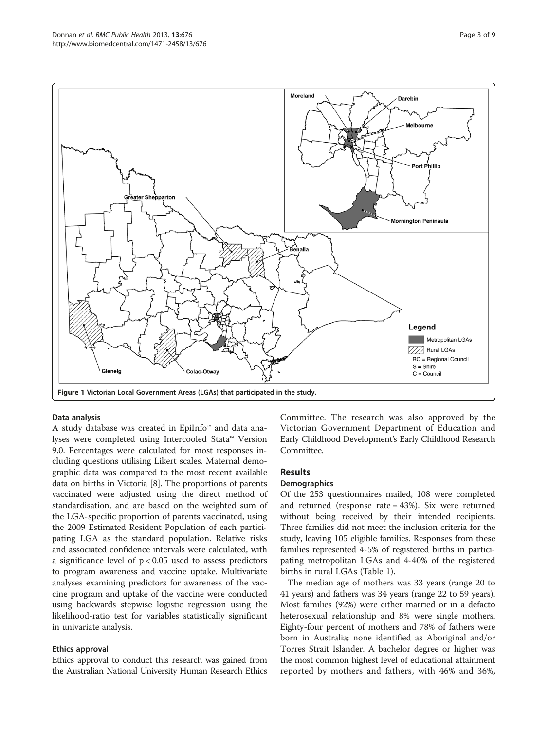<span id="page-2-0"></span>

## Data analysis

A study database was created in EpiInfo™ and data analyses were completed using Intercooled Stata™ Version 9.0. Percentages were calculated for most responses including questions utilising Likert scales. Maternal demographic data was compared to the most recent available data on births in Victoria [\[8](#page-8-0)]. The proportions of parents vaccinated were adjusted using the direct method of standardisation, and are based on the weighted sum of the LGA-specific proportion of parents vaccinated, using the 2009 Estimated Resident Population of each participating LGA as the standard population. Relative risks and associated confidence intervals were calculated, with a significance level of  $p < 0.05$  used to assess predictors to program awareness and vaccine uptake. Multivariate analyses examining predictors for awareness of the vaccine program and uptake of the vaccine were conducted using backwards stepwise logistic regression using the likelihood-ratio test for variables statistically significant in univariate analysis.

#### Ethics approval

Ethics approval to conduct this research was gained from the Australian National University Human Research Ethics Committee. The research was also approved by the Victorian Government Department of Education and Early Childhood Development's Early Childhood Research Committee.

## Results

#### **Demographics**

Of the 253 questionnaires mailed, 108 were completed and returned (response rate = 43%). Six were returned without being received by their intended recipients. Three families did not meet the inclusion criteria for the study, leaving 105 eligible families. Responses from these families represented 4-5% of registered births in participating metropolitan LGAs and 4-40% of the registered births in rural LGAs (Table [1\)](#page-3-0).

The median age of mothers was 33 years (range 20 to 41 years) and fathers was 34 years (range 22 to 59 years). Most families (92%) were either married or in a defacto heterosexual relationship and 8% were single mothers. Eighty-four percent of mothers and 78% of fathers were born in Australia; none identified as Aboriginal and/or Torres Strait Islander. A bachelor degree or higher was the most common highest level of educational attainment reported by mothers and fathers, with 46% and 36%,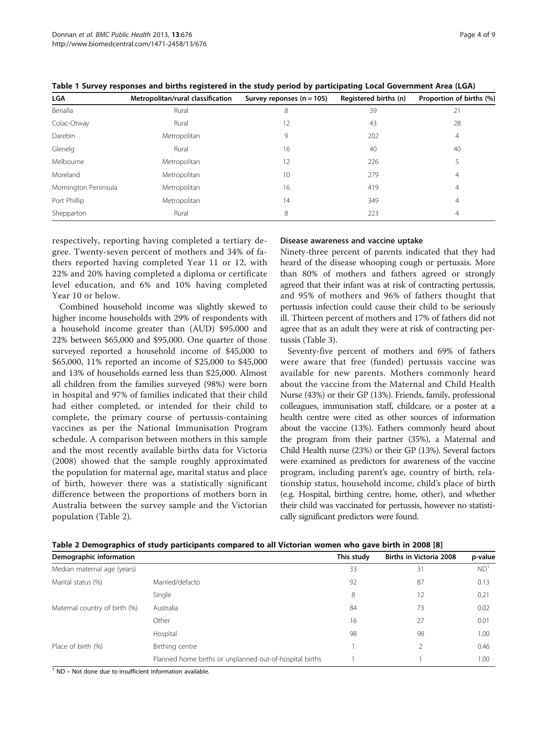| <b>LGA</b>           | Metropolitan/rural classification | Survey reponses $(n = 105)$ | Registered births (n) | Proportion of births (%) |
|----------------------|-----------------------------------|-----------------------------|-----------------------|--------------------------|
| Benalla              | Rural                             | 8                           | 39                    | 21                       |
| Colac-Otway          | Rural                             | 12                          | 43                    | 28                       |
| Darebin              | Metropolitan                      | 9                           | 202                   | $\overline{4}$           |
| Glenelg              | Rural                             | 16                          | 40                    | 40                       |
| Melbourne            | Metropolitan                      | 12                          | 226                   | 5                        |
| Moreland             | Metropolitan                      | 10                          | 279                   | $\overline{4}$           |
| Mornington Peninsula | Metropolitan                      | 16                          | 419                   | $\overline{4}$           |
| Port Phillip         | Metropolitan                      | 14                          | 349                   | $\overline{4}$           |
| Shepparton           | Rural                             | 8                           | 223                   | 4                        |

<span id="page-3-0"></span>Table 1 Survey responses and births registered in the study period by participating Local Government Area (LGA)

respectively, reporting having completed a tertiary degree. Twenty-seven percent of mothers and 34% of fathers reported having completed Year 11 or 12, with 22% and 20% having completed a diploma or certificate level education, and 6% and 10% having completed Year 10 or below.

Combined household income was slightly skewed to higher income households with 29% of respondents with a household income greater than (AUD) \$95,000 and 22% between \$65,000 and \$95,000. One quarter of those surveyed reported a household income of \$45,000 to \$65,000, 11% reported an income of \$25,000 to \$45,000 and 13% of households earned less than \$25,000. Almost all children from the families surveyed (98%) were born in hospital and 97% of families indicated that their child had either completed, or intended for their child to complete, the primary course of pertussis-containing vaccines as per the National Immunisation Program schedule. A comparison between mothers in this sample and the most recently available births data for Victoria (2008) showed that the sample roughly approximated the population for maternal age, marital status and place of birth, however there was a statistically significant difference between the proportions of mothers born in Australia between the survey sample and the Victorian population (Table 2).

## Disease awareness and vaccine uptake

Ninety-three percent of parents indicated that they had heard of the disease whooping cough or pertussis. More than 80% of mothers and fathers agreed or strongly agreed that their infant was at risk of contracting pertussis, and 95% of mothers and 96% of fathers thought that pertussis infection could cause their child to be seriously ill. Thirteen percent of mothers and 17% of fathers did not agree that as an adult they were at risk of contracting pertussis (Table [3\)](#page-4-0).

Seventy-five percent of mothers and 69% of fathers were aware that free (funded) pertussis vaccine was available for new parents. Mothers commonly heard about the vaccine from the Maternal and Child Health Nurse (43%) or their GP (13%). Friends, family, professional colleagues, immunisation staff, childcare, or a poster at a health centre were cited as other sources of information about the vaccine (13%). Fathers commonly heard about the program from their partner (35%), a Maternal and Child Health nurse (23%) or their GP (13%). Several factors were examined as predictors for awareness of the vaccine program, including parent's age, country of birth, relationship status, household income, child's place of birth (e.g. Hospital, birthing centre, home, other), and whether their child was vaccinated for pertussis, however no statistically significant predictors were found.

| Demographic information       |                                                         | This study                                              | <b>Births in Victoria 2008</b> | p-value         |
|-------------------------------|---------------------------------------------------------|---------------------------------------------------------|--------------------------------|-----------------|
| Median maternal age (years)   |                                                         | 33                                                      | 31                             | ND <sup>1</sup> |
| Marital status (%)            | Married/defacto                                         | 92<br>87<br>8<br>12<br>84<br>73<br>27<br>16<br>98<br>98 | 0.13                           |                 |
|                               | Single                                                  |                                                         |                                | 0.21            |
| Maternal country of birth (%) | Australia                                               |                                                         |                                | 0.02            |
|                               | Other                                                   |                                                         |                                | 0.01            |
|                               | Hospital                                                |                                                         |                                | 1.00            |
| Place of birth (%)            | Birthing centre                                         |                                                         |                                | 0.46            |
|                               | Planned home births or unplanned out-of-hospital births |                                                         |                                | 1.00            |

Table 2 Demographics of study participants compared to all Victorian women who gave birth in 2008 [[8\]](#page-8-0)

 $1$  ND – Not done due to insufficient information available.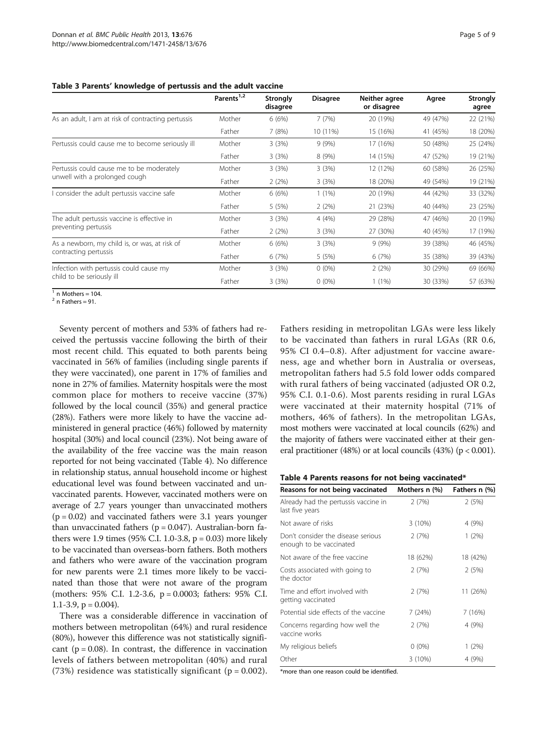<span id="page-4-0"></span>

| Table 3 Parents' knowledge of pertussis and the adult vaccine |  |  |
|---------------------------------------------------------------|--|--|
|---------------------------------------------------------------|--|--|

|                                                    | Parents <sup>1,2</sup> | <b>Strongly</b><br>disagree | <b>Disagree</b> | Neither agree<br>or disagree | Agree    | <b>Strongly</b><br>agree |
|----------------------------------------------------|------------------------|-----------------------------|-----------------|------------------------------|----------|--------------------------|
| As an adult, I am at risk of contracting pertussis | Mother                 | 6(6%)                       | 7(7%)           | 20 (19%)                     | 49 (47%) | 22 (21%)                 |
|                                                    | Father                 | 7(8%)                       | 10 (11%)        | 15 (16%)                     | 41 (45%) | 18 (20%)                 |
| Pertussis could cause me to become seriously ill   | Mother                 | 3(3%)                       | 9(9%)           | 17 (16%)                     | 50 (48%) | 25 (24%)                 |
|                                                    | Father                 | 3(3%)                       | 8(9%)           | 14 (15%)                     | 47 (52%) | 19 (21%)                 |
| Pertussis could cause me to be moderately          | Mother                 | 3(3%)                       | 3(3%)           | 12 (12%)                     | 60 (58%) | 26 (25%)                 |
| unwell with a prolonged cough                      | Father                 | 2(2%)                       | 3(3%)           | 18 (20%)                     | 49 (54%) | 19 (21%)                 |
| consider the adult pertussis vaccine safe          | Mother                 | 6(6%)                       | $1(1\%)$        | 20 (19%)                     | 44 (42%) | 33 (32%)                 |
|                                                    | Father                 | 5(5%)                       | 2(2%)           | 21 (23%)                     | 40 (44%) | 23 (25%)                 |
| The adult pertussis vaccine is effective in        | Mother                 | 3(3%)                       | 4(4%)           | 29 (28%)                     | 47 (46%) | 20 (19%)                 |
| preventing pertussis                               | Father                 | 2(2%)                       | 3(3%)           | 27 (30%)                     | 40 (45%) | 17 (19%)                 |
| As a newborn, my child is, or was, at risk of      | Mother                 | 6(6%)                       | 3(3%)           | 9(9%)                        | 39 (38%) | 46 (45%)                 |
| contracting pertussis                              | Father                 | 6(7%)                       | 5(5%)           | 6(7%)                        | 35 (38%) | 39 (43%)                 |
| Infection with pertussis could cause my            | Mother                 | 3(3%)                       | $0(0\%)$        | 2(2%)                        | 30 (29%) | 69 (66%)                 |
| child to be seriously ill                          | Father                 | 3(3%)                       | $0(0\%)$        | $1(1\%)$                     | 30 (33%) | 57 (63%)                 |

 $\frac{1}{1}$  n Mothers = 104

 $<sup>2</sup>$  n Fathers = 91.</sup>

Seventy percent of mothers and 53% of fathers had received the pertussis vaccine following the birth of their most recent child. This equated to both parents being vaccinated in 56% of families (including single parents if they were vaccinated), one parent in 17% of families and none in 27% of families. Maternity hospitals were the most common place for mothers to receive vaccine (37%) followed by the local council (35%) and general practice (28%). Fathers were more likely to have the vaccine administered in general practice (46%) followed by maternity hospital (30%) and local council (23%). Not being aware of the availability of the free vaccine was the main reason reported for not being vaccinated (Table 4). No difference in relationship status, annual household income or highest educational level was found between vaccinated and unvaccinated parents. However, vaccinated mothers were on average of 2.7 years younger than unvaccinated mothers  $(p = 0.02)$  and vaccinated fathers were 3.1 years younger than unvaccinated fathers ( $p = 0.047$ ). Australian-born fathers were 1.9 times (95% C.I. 1.0-3.8,  $p = 0.03$ ) more likely to be vaccinated than overseas-born fathers. Both mothers and fathers who were aware of the vaccination program for new parents were 2.1 times more likely to be vaccinated than those that were not aware of the program (mothers: 95% C.I. 1.2-3.6, p = 0.0003; fathers: 95% C.I. 1.1-3.9,  $p = 0.004$ ).

There was a considerable difference in vaccination of mothers between metropolitan (64%) and rural residence (80%), however this difference was not statistically significant ( $p = 0.08$ ). In contrast, the difference in vaccination levels of fathers between metropolitan (40%) and rural (73%) residence was statistically significant ( $p = 0.002$ ). Fathers residing in metropolitan LGAs were less likely to be vaccinated than fathers in rural LGAs (RR 0.6, 95% CI 0.4–0.8). After adjustment for vaccine awareness, age and whether born in Australia or overseas, metropolitan fathers had 5.5 fold lower odds compared with rural fathers of being vaccinated (adjusted OR 0.2, 95% C.I. 0.1-0.6). Most parents residing in rural LGAs were vaccinated at their maternity hospital (71% of mothers, 46% of fathers). In the metropolitan LGAs, most mothers were vaccinated at local councils (62%) and the majority of fathers were vaccinated either at their general practitioner (48%) or at local councils (43%) ( $p < 0.001$ ).

#### Table 4 Parents reasons for not being vaccinated\*

| Reasons for not being vaccinated                              | Mothers n (%) | Fathers n (%) |
|---------------------------------------------------------------|---------------|---------------|
| Already had the pertussis vaccine in<br>last five years       | 2(7%)         | 2(5%)         |
| Not aware of risks                                            | 3(10%)        | 4 (9%)        |
| Don't consider the disease serious<br>enough to be vaccinated | 2(7%)         | $1(2\%)$      |
| Not aware of the free vaccine                                 | 18 (62%)      | 18 (42%)      |
| Costs associated with going to<br>the doctor                  | 2(7%)         | 2(5%)         |
| Time and effort involved with<br>getting vaccinated           | 2(7%)         | 11 (26%)      |
| Potential side effects of the vaccine                         | 7 (24%)       | 7 (16%)       |
| Concerns regarding how well the<br>vaccine works              | 2(7%)         | 4 (9%)        |
| My religious beliefs                                          | $0(0\%)$      | $1(2\%)$      |
| Other                                                         | 3(10%)        | 4 (9%)        |

\*more than one reason could be identified.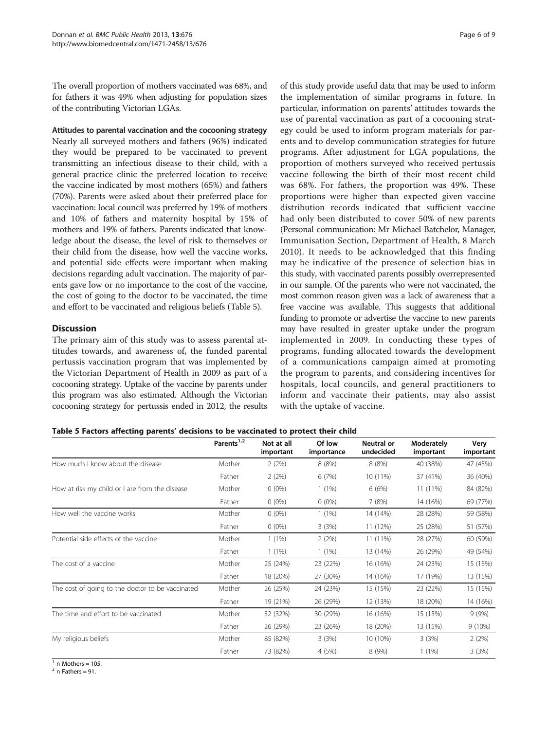The overall proportion of mothers vaccinated was 68%, and for fathers it was 49% when adjusting for population sizes of the contributing Victorian LGAs.

## Attitudes to parental vaccination and the cocooning strategy

Nearly all surveyed mothers and fathers (96%) indicated they would be prepared to be vaccinated to prevent transmitting an infectious disease to their child, with a general practice clinic the preferred location to receive the vaccine indicated by most mothers (65%) and fathers (70%). Parents were asked about their preferred place for vaccination: local council was preferred by 19% of mothers and 10% of fathers and maternity hospital by 15% of mothers and 19% of fathers. Parents indicated that knowledge about the disease, the level of risk to themselves or their child from the disease, how well the vaccine works, and potential side effects were important when making decisions regarding adult vaccination. The majority of parents gave low or no importance to the cost of the vaccine, the cost of going to the doctor to be vaccinated, the time and effort to be vaccinated and religious beliefs (Table 5).

## **Discussion**

The primary aim of this study was to assess parental attitudes towards, and awareness of, the funded parental pertussis vaccination program that was implemented by the Victorian Department of Health in 2009 as part of a cocooning strategy. Uptake of the vaccine by parents under this program was also estimated. Although the Victorian cocooning strategy for pertussis ended in 2012, the results

of this study provide useful data that may be used to inform the implementation of similar programs in future. In particular, information on parents' attitudes towards the use of parental vaccination as part of a cocooning strategy could be used to inform program materials for parents and to develop communication strategies for future programs. After adjustment for LGA populations, the proportion of mothers surveyed who received pertussis vaccine following the birth of their most recent child was 68%. For fathers, the proportion was 49%. These proportions were higher than expected given vaccine distribution records indicated that sufficient vaccine had only been distributed to cover 50% of new parents (Personal communication: Mr Michael Batchelor, Manager, Immunisation Section, Department of Health, 8 March 2010). It needs to be acknowledged that this finding may be indicative of the presence of selection bias in this study, with vaccinated parents possibly overrepresented in our sample. Of the parents who were not vaccinated, the most common reason given was a lack of awareness that a free vaccine was available. This suggests that additional funding to promote or advertise the vaccine to new parents may have resulted in greater uptake under the program implemented in 2009. In conducting these types of programs, funding allocated towards the development of a communications campaign aimed at promoting the program to parents, and considering incentives for hospitals, local councils, and general practitioners to inform and vaccinate their patients, may also assist with the uptake of vaccine.

Table 5 Factors affecting parents' decisions to be vaccinated to protect their child

|                                                  | Parents <sup>1,2</sup> | Not at all<br>important | Of low<br>importance | <b>Neutral or</b><br>undecided | Moderately<br>important | Very<br>important |
|--------------------------------------------------|------------------------|-------------------------|----------------------|--------------------------------|-------------------------|-------------------|
| How much I know about the disease                | Mother                 | 2(2%)                   | 8 (8%)               | 8(8%)                          | 40 (38%)                | 47 (45%)          |
|                                                  | Father                 | 2(2%)                   | 6(7%)                | 10 (11%)                       | 37 (41%)                | 36 (40%)          |
| How at risk my child or I are from the disease   | Mother                 | $0(0\%)$                | 1(1%)                | 6(6%)                          | 11 (11%)                | 84 (82%)          |
|                                                  | Father                 | $0(0\%)$                | $0(0\%)$             | 7(8%)                          | 14 (16%)                | 69 (77%)          |
| How well the vaccine works                       | Mother                 | $0(0\%)$                | $1(1\%)$             | 14 (14%)                       | 28 (28%)                | 59 (58%)          |
|                                                  | Father                 | $0(0\%)$                | 3(3%)                | 11 (12%)                       | 25 (28%)                | 51 (57%)          |
| Potential side effects of the vaccine            | Mother                 | $1(1\%)$                | 2(2%)                | 11 (11%)                       | 28 (27%)                | 60 (59%)          |
|                                                  | Father                 | $1(1\%)$                | $1(1\%)$             | 13 (14%)                       | 26 (29%)                | 49 (54%)          |
| The cost of a vaccine                            | Mother                 | 25 (24%)                | 23 (22%)             | 16 (16%)                       | 24 (23%)                | 15 (15%)          |
|                                                  | Father                 | 18 (20%)                | 27 (30%)             | 14 (16%)                       | 17 (19%)                | 13 (15%)          |
| The cost of going to the doctor to be vaccinated | Mother                 | 26 (25%)                | 24 (23%)             | 15 (15%)                       | 23 (22%)                | 15 (15%)          |
|                                                  | Father                 | 19 (21%)                | 26 (29%)             | 12 (13%)                       | 18 (20%)                | 14 (16%)          |
| The time and effort to be vaccinated             | Mother                 | 32 (32%)                | 30 (29%)             | 16 (16%)                       | 15 (15%)                | 9(9%)             |
|                                                  | Father                 | 26 (29%)                | 23 (26%)             | 18 (20%)                       | 13 (15%)                | $9(10\%)$         |
| My religious beliefs                             | Mother                 | 85 (82%)                | 3(3%)                | 10 (10%)                       | 3(3%)                   | 2(2%)             |
|                                                  | Father                 | 73 (82%)                | 4(5%)                | 8 (9%)                         | $1(1\%)$                | 3(3%)             |

 $<sup>1</sup>$  n Mothers = 105.</sup>

 $2$  n Fathers = 91.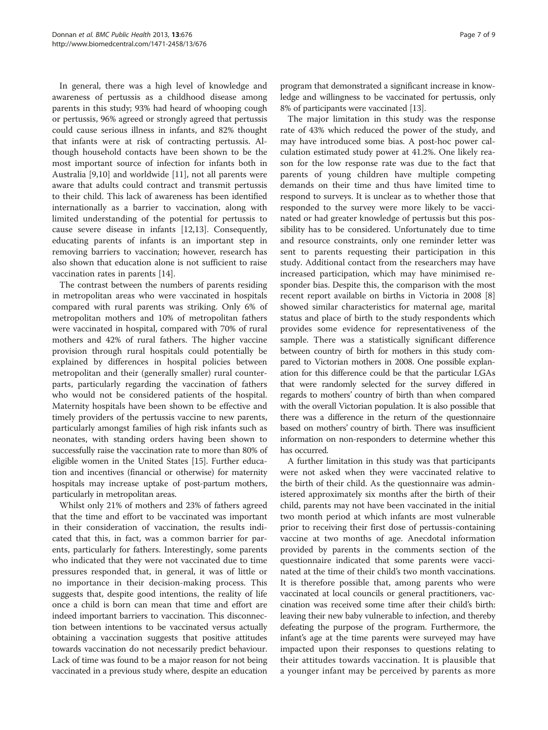In general, there was a high level of knowledge and awareness of pertussis as a childhood disease among parents in this study; 93% had heard of whooping cough or pertussis, 96% agreed or strongly agreed that pertussis could cause serious illness in infants, and 82% thought that infants were at risk of contracting pertussis. Although household contacts have been shown to be the most important source of infection for infants both in Australia [[9,10\]](#page-8-0) and worldwide [\[11\]](#page-8-0), not all parents were aware that adults could contract and transmit pertussis to their child. This lack of awareness has been identified internationally as a barrier to vaccination, along with limited understanding of the potential for pertussis to cause severe disease in infants [[12,13\]](#page-8-0). Consequently, educating parents of infants is an important step in removing barriers to vaccination; however, research has also shown that education alone is not sufficient to raise vaccination rates in parents [[14](#page-8-0)].

The contrast between the numbers of parents residing in metropolitan areas who were vaccinated in hospitals compared with rural parents was striking. Only 6% of metropolitan mothers and 10% of metropolitan fathers were vaccinated in hospital, compared with 70% of rural mothers and 42% of rural fathers. The higher vaccine provision through rural hospitals could potentially be explained by differences in hospital policies between metropolitan and their (generally smaller) rural counterparts, particularly regarding the vaccination of fathers who would not be considered patients of the hospital. Maternity hospitals have been shown to be effective and timely providers of the pertussis vaccine to new parents, particularly amongst families of high risk infants such as neonates, with standing orders having been shown to successfully raise the vaccination rate to more than 80% of eligible women in the United States [\[15\]](#page-8-0). Further education and incentives (financial or otherwise) for maternity hospitals may increase uptake of post-partum mothers, particularly in metropolitan areas.

Whilst only 21% of mothers and 23% of fathers agreed that the time and effort to be vaccinated was important in their consideration of vaccination, the results indicated that this, in fact, was a common barrier for parents, particularly for fathers. Interestingly, some parents who indicated that they were not vaccinated due to time pressures responded that, in general, it was of little or no importance in their decision-making process. This suggests that, despite good intentions, the reality of life once a child is born can mean that time and effort are indeed important barriers to vaccination. This disconnection between intentions to be vaccinated versus actually obtaining a vaccination suggests that positive attitudes towards vaccination do not necessarily predict behaviour. Lack of time was found to be a major reason for not being vaccinated in a previous study where, despite an education

program that demonstrated a significant increase in knowledge and willingness to be vaccinated for pertussis, only 8% of participants were vaccinated [\[13](#page-8-0)].

The major limitation in this study was the response rate of 43% which reduced the power of the study, and may have introduced some bias. A post-hoc power calculation estimated study power at 41.2%. One likely reason for the low response rate was due to the fact that parents of young children have multiple competing demands on their time and thus have limited time to respond to surveys. It is unclear as to whether those that responded to the survey were more likely to be vaccinated or had greater knowledge of pertussis but this possibility has to be considered. Unfortunately due to time and resource constraints, only one reminder letter was sent to parents requesting their participation in this study. Additional contact from the researchers may have increased participation, which may have minimised responder bias. Despite this, the comparison with the most recent report available on births in Victoria in 2008 [\[8](#page-8-0)] showed similar characteristics for maternal age, marital status and place of birth to the study respondents which provides some evidence for representativeness of the sample. There was a statistically significant difference between country of birth for mothers in this study compared to Victorian mothers in 2008. One possible explanation for this difference could be that the particular LGAs that were randomly selected for the survey differed in regards to mothers' country of birth than when compared with the overall Victorian population. It is also possible that there was a difference in the return of the questionnaire based on mothers' country of birth. There was insufficient information on non-responders to determine whether this has occurred.

A further limitation in this study was that participants were not asked when they were vaccinated relative to the birth of their child. As the questionnaire was administered approximately six months after the birth of their child, parents may not have been vaccinated in the initial two month period at which infants are most vulnerable prior to receiving their first dose of pertussis-containing vaccine at two months of age. Anecdotal information provided by parents in the comments section of the questionnaire indicated that some parents were vaccinated at the time of their child's two month vaccinations. It is therefore possible that, among parents who were vaccinated at local councils or general practitioners, vaccination was received some time after their child's birth: leaving their new baby vulnerable to infection, and thereby defeating the purpose of the program. Furthermore, the infant's age at the time parents were surveyed may have impacted upon their responses to questions relating to their attitudes towards vaccination. It is plausible that a younger infant may be perceived by parents as more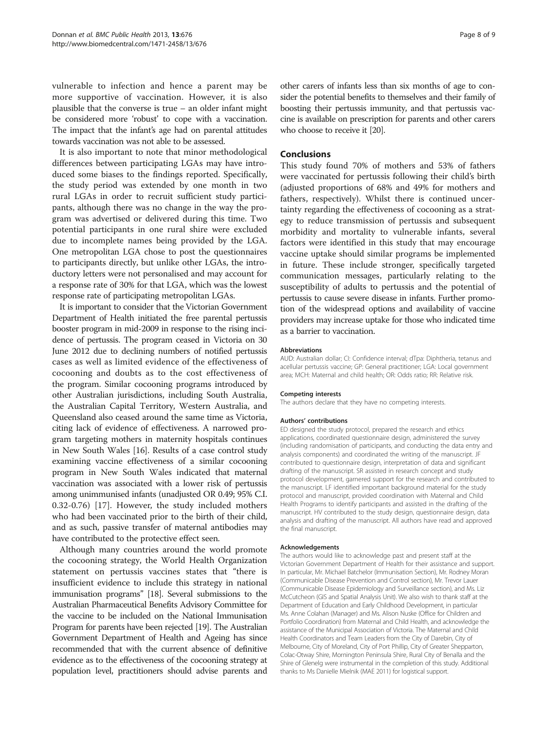vulnerable to infection and hence a parent may be more supportive of vaccination. However, it is also plausible that the converse is true – an older infant might be considered more 'robust' to cope with a vaccination. The impact that the infant's age had on parental attitudes towards vaccination was not able to be assessed.

It is also important to note that minor methodological differences between participating LGAs may have introduced some biases to the findings reported. Specifically, the study period was extended by one month in two rural LGAs in order to recruit sufficient study participants, although there was no change in the way the program was advertised or delivered during this time. Two potential participants in one rural shire were excluded due to incomplete names being provided by the LGA. One metropolitan LGA chose to post the questionnaires to participants directly, but unlike other LGAs, the introductory letters were not personalised and may account for a response rate of 30% for that LGA, which was the lowest response rate of participating metropolitan LGAs.

It is important to consider that the Victorian Government Department of Health initiated the free parental pertussis booster program in mid-2009 in response to the rising incidence of pertussis. The program ceased in Victoria on 30 June 2012 due to declining numbers of notified pertussis cases as well as limited evidence of the effectiveness of cocooning and doubts as to the cost effectiveness of the program. Similar cocooning programs introduced by other Australian jurisdictions, including South Australia, the Australian Capital Territory, Western Australia, and Queensland also ceased around the same time as Victoria, citing lack of evidence of effectiveness. A narrowed program targeting mothers in maternity hospitals continues in New South Wales [[16](#page-8-0)]. Results of a case control study examining vaccine effectiveness of a similar cocooning program in New South Wales indicated that maternal vaccination was associated with a lower risk of pertussis among unimmunised infants (unadjusted OR 0.49; 95% C.I. 0.32-0.76) [\[17](#page-8-0)]. However, the study included mothers who had been vaccinated prior to the birth of their child, and as such, passive transfer of maternal antibodies may have contributed to the protective effect seen.

Although many countries around the world promote the cocooning strategy, the World Health Organization statement on pertussis vaccines states that "there is insufficient evidence to include this strategy in national immunisation programs" [\[18\]](#page-8-0). Several submissions to the Australian Pharmaceutical Benefits Advisory Committee for the vaccine to be included on the National Immunisation Program for parents have been rejected [\[19\]](#page-8-0). The Australian Government Department of Health and Ageing has since recommended that with the current absence of definitive evidence as to the effectiveness of the cocooning strategy at population level, practitioners should advise parents and

other carers of infants less than six months of age to consider the potential benefits to themselves and their family of boosting their pertussis immunity, and that pertussis vaccine is available on prescription for parents and other carers who choose to receive it [[20\]](#page-8-0).

## Conclusions

This study found 70% of mothers and 53% of fathers were vaccinated for pertussis following their child's birth (adjusted proportions of 68% and 49% for mothers and fathers, respectively). Whilst there is continued uncertainty regarding the effectiveness of cocooning as a strategy to reduce transmission of pertussis and subsequent morbidity and mortality to vulnerable infants, several factors were identified in this study that may encourage vaccine uptake should similar programs be implemented in future. These include stronger, specifically targeted communication messages, particularly relating to the susceptibility of adults to pertussis and the potential of pertussis to cause severe disease in infants. Further promotion of the widespread options and availability of vaccine providers may increase uptake for those who indicated time as a barrier to vaccination.

#### Abbreviations

AUD: Australian dollar; CI: Confidence interval; dTpa: Diphtheria, tetanus and acellular pertussis vaccine; GP: General practitioner; LGA: Local government area; MCH: Maternal and child health; OR: Odds ratio; RR: Relative risk.

#### Competing interests

The authors declare that they have no competing interests.

#### Authors' contributions

ED designed the study protocol, prepared the research and ethics applications, coordinated questionnaire design, administered the survey (including randomisation of participants, and conducting the data entry and analysis components) and coordinated the writing of the manuscript. JF contributed to questionnaire design, interpretation of data and significant drafting of the manuscript. SR assisted in research concept and study protocol development, garnered support for the research and contributed to the manuscript. LF identified important background material for the study protocol and manuscript, provided coordination with Maternal and Child Health Programs to identify participants and assisted in the drafting of the manuscript. HV contributed to the study design, questionnaire design, data analysis and drafting of the manuscript. All authors have read and approved the final manuscript.

#### Acknowledgements

The authors would like to acknowledge past and present staff at the Victorian Government Department of Health for their assistance and support. In particular, Mr. Michael Batchelor (Immunisation Section), Mr. Rodney Moran (Communicable Disease Prevention and Control section), Mr. Trevor Lauer (Communicable Disease Epidemiology and Surveillance section), and Ms. Liz McCutcheon (GIS and Spatial Analysis Unit). We also wish to thank staff at the Department of Education and Early Childhood Development, in particular Ms. Anne Colahan (Manager) and Ms. Alison Nuske (Office for Children and Portfolio Coordination) from Maternal and Child Health, and acknowledge the assistance of the Municipal Association of Victoria. The Maternal and Child Health Coordinators and Team Leaders from the City of Darebin, City of Melbourne, City of Moreland, City of Port Phillip, City of Greater Shepparton, Colac-Otway Shire, Mornington Peninsula Shire, Rural City of Benalla and the Shire of Glenelg were instrumental in the completion of this study. Additional thanks to Ms Danielle Mielnik (MAE 2011) for logistical support.